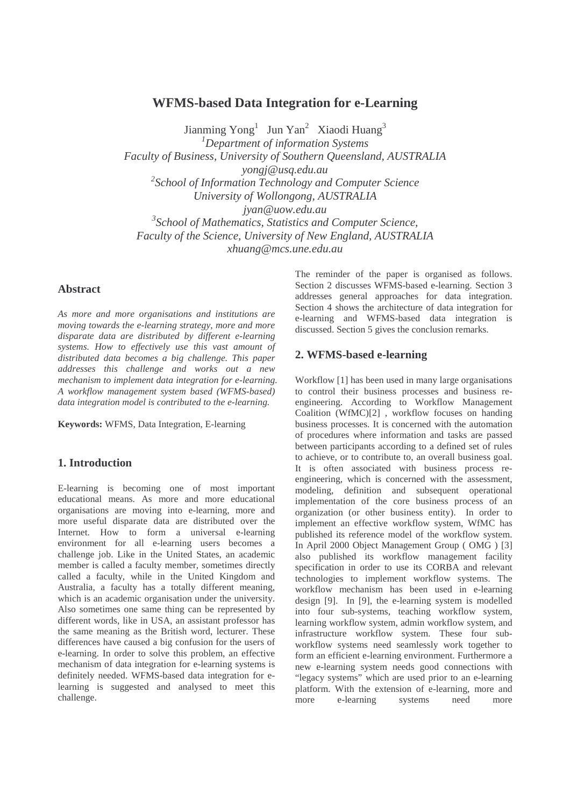# **WFMS-based Data Integration for e-Learning**

Jianming Yong<sup>1</sup> Jun Yan<sup>2</sup> Xiaodi Huang<sup>3</sup> *<sup>1</sup>Department of information Systems Faculty of Business, University of Southern Queensland, AUSTRALIA yongj@usq.edu.au 2 School of Information Technology and Computer Science University of Wollongong, AUSTRALIA jyan@uow.edu.au 3 School of Mathematics, Statistics and Computer Science, Faculty of the Science, University of New England, AUSTRALIA xhuang@mcs.une.edu.au* 

## **Abstract**

*As more and more organisations and institutions are moving towards the e-learning strategy, more and more disparate data are distributed by different e-learning systems. How to effectively use this vast amount of distributed data becomes a big challenge. This paper addresses this challenge and works out a new mechanism to implement data integration for e-learning. A workflow management system based (WFMS-based) data integration model is contributed to the e-learning.* 

**Keywords:** WFMS, Data Integration, E-learning

## **1. Introduction**

E-learning is becoming one of most important educational means. As more and more educational organisations are moving into e-learning, more and more useful disparate data are distributed over the Internet. How to form a universal e-learning environment for all e-learning users becomes a challenge job. Like in the United States, an academic member is called a faculty member, sometimes directly called a faculty, while in the United Kingdom and Australia, a faculty has a totally different meaning, which is an academic organisation under the university. Also sometimes one same thing can be represented by different words, like in USA, an assistant professor has the same meaning as the British word, lecturer. These differences have caused a big confusion for the users of e-learning. In order to solve this problem, an effective mechanism of data integration for e-learning systems is definitely needed. WFMS-based data integration for elearning is suggested and analysed to meet this challenge.

The reminder of the paper is organised as follows. Section 2 discusses WFMS-based e-learning. Section 3 addresses general approaches for data integration. Section 4 shows the architecture of data integration for e-learning and WFMS-based data integration is discussed. Section 5 gives the conclusion remarks.

## **2. WFMS-based e-learning**

Workflow [1] has been used in many large organisations to control their business processes and business reengineering. According to Workflow Management Coalition (WfMC)[2] , workflow focuses on handing business processes. It is concerned with the automation of procedures where information and tasks are passed between participants according to a defined set of rules to achieve, or to contribute to, an overall business goal. It is often associated with business process reengineering, which is concerned with the assessment, modeling, definition and subsequent operational implementation of the core business process of an organization (or other business entity). In order to implement an effective workflow system, WfMC has published its reference model of the workflow system. In April 2000 Object Management Group ( OMG ) [3] also published its workflow management facility specification in order to use its CORBA and relevant technologies to implement workflow systems. The workflow mechanism has been used in e-learning design [9]. In [9], the e-learning system is modelled into four sub-systems, teaching workflow system, learning workflow system, admin workflow system, and infrastructure workflow system. These four subworkflow systems need seamlessly work together to form an efficient e-learning environment. Furthermore a new e-learning system needs good connections with "legacy systems" which are used prior to an e-learning platform. With the extension of e-learning, more and more e-learning systems need more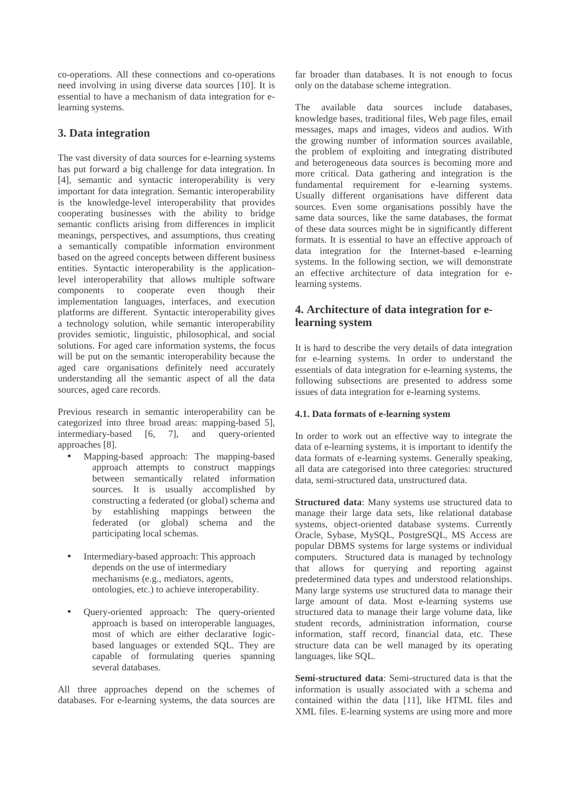co-operations. All these connections and co-operations need involving in using diverse data sources [10]. It is essential to have a mechanism of data integration for elearning systems.

## **3. Data integration**

The vast diversity of data sources for e-learning systems has put forward a big challenge for data integration. In [4], semantic and syntactic interoperability is very important for data integration. Semantic interoperability is the knowledge-level interoperability that provides cooperating businesses with the ability to bridge semantic conflicts arising from differences in implicit meanings, perspectives, and assumptions, thus creating a semantically compatible information environment based on the agreed concepts between different business entities. Syntactic interoperability is the applicationlevel interoperability that allows multiple software components to cooperate even though their implementation languages, interfaces, and execution platforms are different. Syntactic interoperability gives a technology solution, while semantic interoperability provides semiotic, linguistic, philosophical, and social solutions. For aged care information systems, the focus will be put on the semantic interoperability because the aged care organisations definitely need accurately understanding all the semantic aspect of all the data sources, aged care records.

Previous research in semantic interoperability can be categorized into three broad areas: mapping-based 5], intermediary-based [6, 7], and query-oriented approaches [8].

- Mapping-based approach: The mapping-based approach attempts to construct mappings between semantically related information sources. It is usually accomplished by constructing a federated (or global) schema and by establishing mappings between the federated (or global) schema and the participating local schemas.
- Intermediary-based approach: This approach depends on the use of intermediary mechanisms (e.g., mediators, agents, ontologies, etc.) to achieve interoperability.
- Query-oriented approach: The query-oriented approach is based on interoperable languages, most of which are either declarative logicbased languages or extended SQL. They are capable of formulating queries spanning several databases.

All three approaches depend on the schemes of databases. For e-learning systems, the data sources are

far broader than databases. It is not enough to focus only on the database scheme integration.

The available data sources include databases, knowledge bases, traditional files, Web page files, email messages, maps and images, videos and audios. With the growing number of information sources available, the problem of exploiting and integrating distributed and heterogeneous data sources is becoming more and more critical. Data gathering and integration is the fundamental requirement for e-learning systems. Usually different organisations have different data sources. Even some organisations possibly have the same data sources, like the same databases, the format of these data sources might be in significantly different formats. It is essential to have an effective approach of data integration for the Internet-based e-learning systems. In the following section, we will demonstrate an effective architecture of data integration for elearning systems.

## **4. Architecture of data integration for elearning system**

It is hard to describe the very details of data integration for e-learning systems. In order to understand the essentials of data integration for e-learning systems, the following subsections are presented to address some issues of data integration for e-learning systems.

### **4.1. Data formats of e-learning system**

In order to work out an effective way to integrate the data of e-learning systems, it is important to identify the data formats of e-learning systems. Generally speaking, all data are categorised into three categories: structured data, semi-structured data, unstructured data.

**Structured data**: Many systems use structured data to manage their large data sets, like relational database systems, object-oriented database systems. Currently Oracle, Sybase, MySQL, PostgreSQL, MS Access are popular DBMS systems for large systems or individual computers. Structured data is managed by technology that allows for querying and reporting against predetermined data types and understood relationships. Many large systems use structured data to manage their large amount of data. Most e-learning systems use structured data to manage their large volume data, like student records, administration information, course information, staff record, financial data, etc. These structure data can be well managed by its operating languages, like SQL.

**Semi-structured data**: Semi-structured data is that the information is usually associated with a schema and contained within the data [11], like HTML files and XML files. E-learning systems are using more and more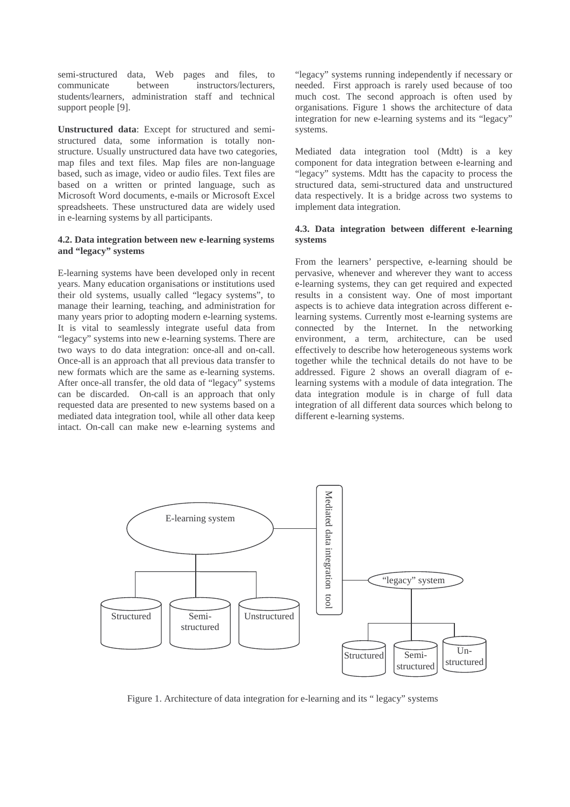semi-structured data, Web pages and files, to communicate between instructors/lecturers, students/learners, administration staff and technical support people [9].

**Unstructured data**: Except for structured and semistructured data, some information is totally nonstructure. Usually unstructured data have two categories, map files and text files. Map files are non-language based, such as image, video or audio files. Text files are based on a written or printed language, such as Microsoft Word documents, e-mails or Microsoft Excel spreadsheets. These unstructured data are widely used in e-learning systems by all participants.

#### **4.2. Data integration between new e-learning systems and "legacy" systems**

E-learning systems have been developed only in recent years. Many education organisations or institutions used their old systems, usually called "legacy systems", to manage their learning, teaching, and administration for many years prior to adopting modern e-learning systems. It is vital to seamlessly integrate useful data from "legacy" systems into new e-learning systems. There are two ways to do data integration: once-all and on-call. Once-all is an approach that all previous data transfer to new formats which are the same as e-learning systems. After once-all transfer, the old data of "legacy" systems can be discarded. On-call is an approach that only requested data are presented to new systems based on a mediated data integration tool, while all other data keep intact. On-call can make new e-learning systems and

"legacy" systems running independently if necessary or needed. First approach is rarely used because of too much cost. The second approach is often used by organisations. Figure 1 shows the architecture of data integration for new e-learning systems and its "legacy" systems.

Mediated data integration tool (Mdtt) is a key component for data integration between e-learning and "legacy" systems. Mdtt has the capacity to process the structured data, semi-structured data and unstructured data respectively. It is a bridge across two systems to implement data integration.

#### **4.3. Data integration between different e-learning systems**

From the learners' perspective, e-learning should be pervasive, whenever and wherever they want to access e-learning systems, they can get required and expected results in a consistent way. One of most important aspects is to achieve data integration across different elearning systems. Currently most e-learning systems are connected by the Internet. In the networking environment, a term, architecture, can be used effectively to describe how heterogeneous systems work together while the technical details do not have to be addressed. Figure 2 shows an overall diagram of elearning systems with a module of data integration. The data integration module is in charge of full data integration of all different data sources which belong to different e-learning systems.



Figure 1. Architecture of data integration for e-learning and its " legacy" systems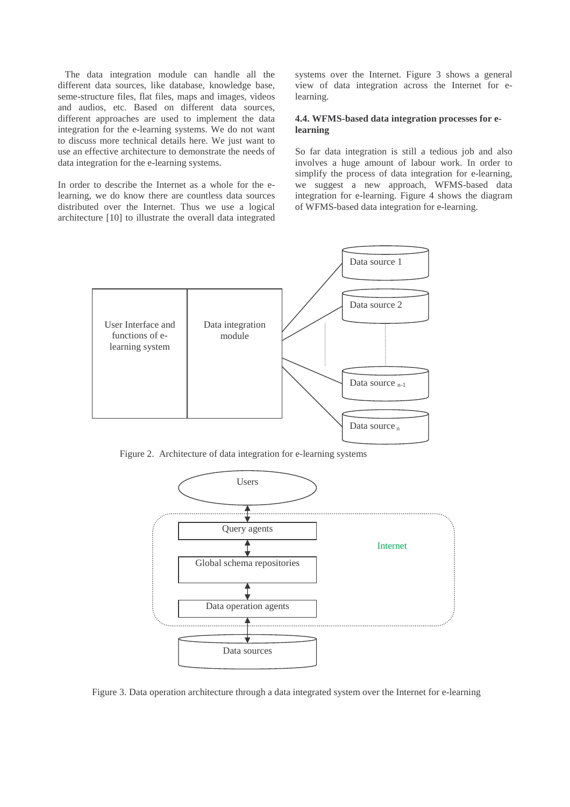The data integration module can handle all the different data sources, like database, knowledge base, seme-structure files, flat files, maps and images, videos and audios, etc. Based on different data sources, different approaches are used to implement the data integration for the e-learning systems. We do not want to discuss more technical details here. We just want to use an effective architecture to demonstrate the needs of data integration for the e-learning systems.

In order to describe the Internet as a whole for the elearning, we do know there are countless data sources distributed over the Internet. Thus we use a logical architecture [10] to illustrate the overall data integrated

systems over the Internet. Figure 3 shows a general view of data integration across the Internet for elearning.

#### **4.4. WFMS-based data integration processes for elearning**

So far data integration is still a tedious job and also involves a huge amount of labour work. In order to simplify the process of data integration for e-learning, we suggest a new approach, WFMS-based data integration for e-learning. Figure 4 shows the diagram of WFMS-based data integration for e-learning.



Figure 2. Architecture of data integration for e-learning systems



Figure 3. Data operation architecture through a data integrated system over the Internet for e-learning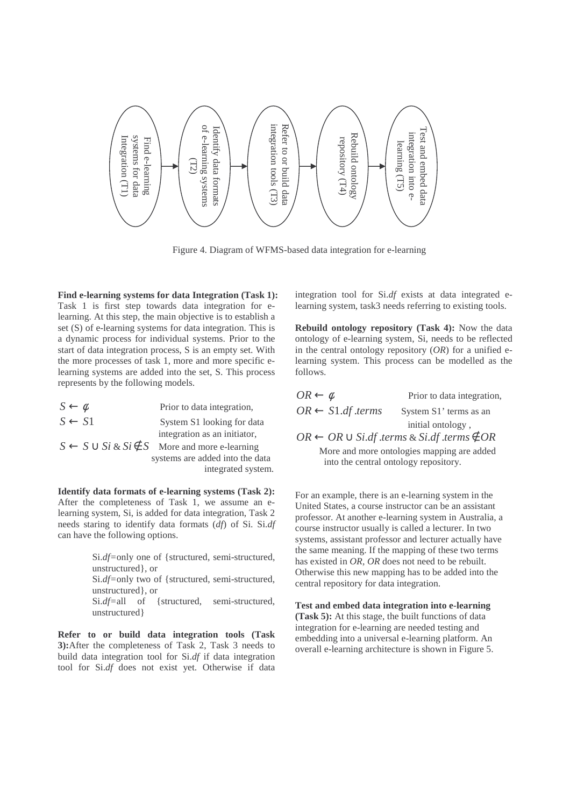

Figure 4. Diagram of WFMS-based data integration for e-learning

**Find e-learning systems for data Integration (Task 1):** Task 1 is first step towards data integration for elearning. At this step, the main objective is to establish a set (S) of e-learning systems for data integration. This is a dynamic process for individual systems. Prior to the start of data integration process, S is an empty set. With the more processes of task 1, more and more specific elearning systems are added into the set, S. This process represents by the following models.

| $S \leftarrow \phi$                    | Prior to data integration,      |
|----------------------------------------|---------------------------------|
| $S \leftarrow S1$                      | System S1 looking for data      |
|                                        | integration as an initiator,    |
| $S \leftarrow S \cup Si & Si \notin S$ | More and more e-learning        |
|                                        | systems are added into the data |
|                                        | integrated system.              |
|                                        |                                 |

**Identify data formats of e-learning systems (Task 2):**  After the completeness of Task 1, we assume an elearning system, Si, is added for data integration, Task 2 needs staring to identify data formats (*df*) of Si. Si.*df* can have the following options.

> Si.*df=*only one of {structured, semi-structured, unstructured}, or Si.*df=*only two of {structured, semi-structured, unstructured}, or Si.*df=*all of {structured, semi-structured, unstructured}

**Refer to or build data integration tools (Task 3):**After the completeness of Task 2, Task 3 needs to build data integration tool for Si.*df* if data integration tool for Si.*df* does not exist yet. Otherwise if data

integration tool for Si.*df* exists at data integrated elearning system, task3 needs referring to existing tools.

**Rebuild ontology repository (Task 4):** Now the data ontology of e-learning system, Si, needs to be reflected in the central ontology repository  $(OR)$  for a unified elearning system. This process can be modelled as the follows.

| $OR \leftarrow \phi$                       | Prior to data integration,                                  |  |
|--------------------------------------------|-------------------------------------------------------------|--|
| $OR \leftarrow S1.df. terms$               | System S1' terms as an                                      |  |
|                                            | initial ontology,                                           |  |
|                                            | $OR \leftarrow OR \cup Sid$ terms & Si.df terms $\notin OR$ |  |
| More and more ontologies mapping are added |                                                             |  |
|                                            | into the central ontology repository.                       |  |

For an example, there is an e-learning system in the United States, a course instructor can be an assistant professor. At another e-learning system in Australia, a course instructor usually is called a lecturer. In two systems, assistant professor and lecturer actually have the same meaning. If the mapping of these two terms has existed in *OR, OR* does not need to be rebuilt. Otherwise this new mapping has to be added into the central repository for data integration.

**Test and embed data integration into e-learning (Task 5):** At this stage, the built functions of data integration for e-learning are needed testing and embedding into a universal e-learning platform. An overall e-learning architecture is shown in Figure 5.